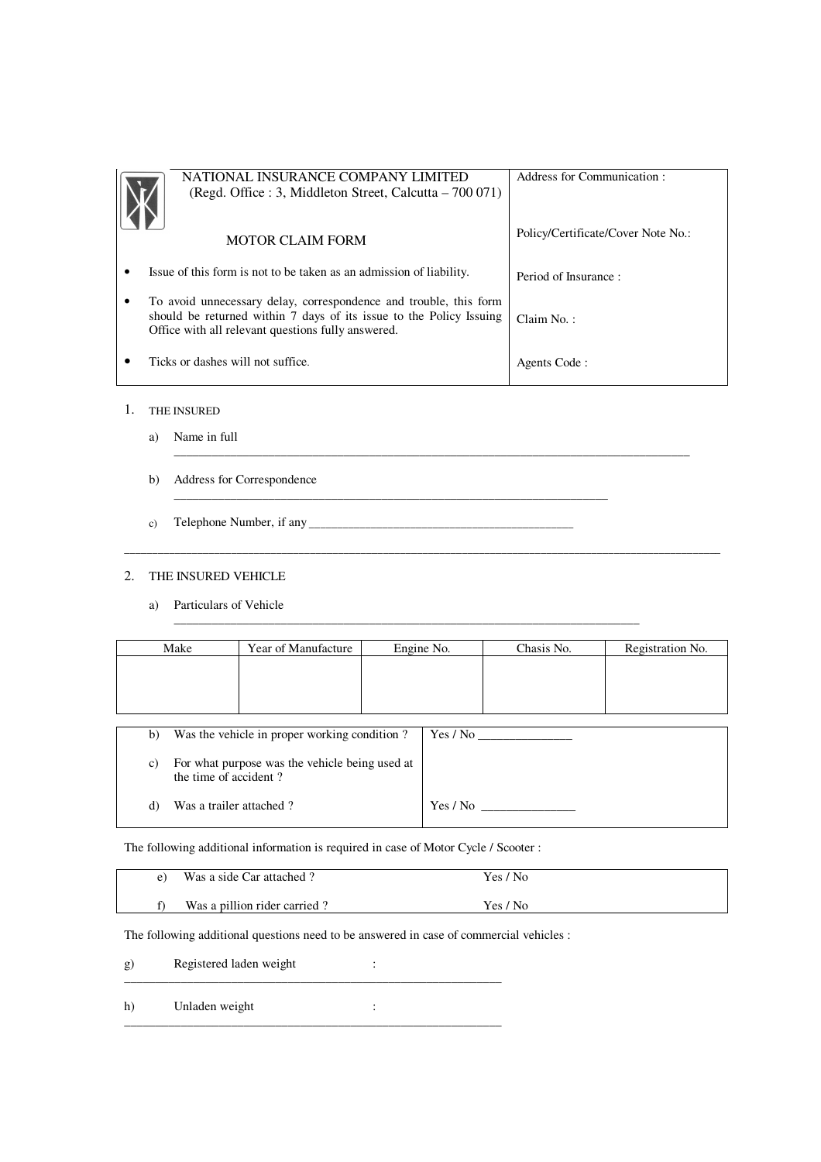| NATIONAL INSURANCE COMPANY LIMITED                                                                                        | Address for Communication:         |
|---------------------------------------------------------------------------------------------------------------------------|------------------------------------|
| (Regd. Office : 3, Middleton Street, Calcutta – 700 071)                                                                  |                                    |
|                                                                                                                           |                                    |
| <b>MOTOR CLAIM FORM</b>                                                                                                   | Policy/Certificate/Cover Note No.: |
| Issue of this form is not to be taken as an admission of liability.                                                       |                                    |
|                                                                                                                           | Period of Insurance:               |
| To avoid unnecessary delay, correspondence and trouble, this form                                                         |                                    |
| should be returned within 7 days of its issue to the Policy Issuing<br>Office with all relevant questions fully answered. | Claim No.:                         |
|                                                                                                                           |                                    |
| Ticks or dashes will not suffice.                                                                                         | Agents Code:                       |

\_\_\_\_\_\_\_\_\_\_\_\_\_\_\_\_\_\_\_\_\_\_\_\_\_\_\_\_\_\_\_\_\_\_\_\_\_\_\_\_\_\_\_\_\_\_\_\_\_\_\_\_\_\_\_\_\_\_\_\_\_\_\_\_\_\_\_\_\_\_\_\_\_\_\_\_\_\_\_\_\_\_

\_\_\_\_\_\_\_\_\_\_\_\_\_\_\_\_\_\_\_\_\_\_\_\_\_\_\_\_\_\_\_\_\_\_\_\_\_\_\_\_\_\_\_\_\_\_\_\_\_\_\_\_\_\_\_\_\_\_\_\_\_\_\_\_\_\_\_\_\_\_\_\_\_\_\_\_\_\_\_\_\_\_\_\_\_\_\_\_\_\_\_\_\_\_\_\_\_\_\_\_\_\_\_\_\_\_

 $\mathcal{L}_\text{max}$  , and the set of the set of the set of the set of the set of the set of the set of the set of the set of the set of the set of the set of the set of the set of the set of the set of the set of the set of the

\_\_\_\_\_\_\_\_\_\_\_\_\_\_\_\_\_\_\_\_\_\_\_\_\_\_\_\_\_\_\_\_\_\_\_\_\_\_\_\_\_\_\_\_\_\_\_\_\_\_\_\_\_\_\_\_\_\_\_\_\_\_\_\_\_\_\_\_\_

- 1. THE INSURED
	- a) Name in full
	- b) Address for Correspondence
	- c) Telephone Number, if any  $\Box$

# 2. THE INSURED VEHICLE

a) Particulars of Vehicle

|    | Make                                                                    | Year of Manufacture                          |  | Engine No. | Chasis No. | Registration No. |
|----|-------------------------------------------------------------------------|----------------------------------------------|--|------------|------------|------------------|
|    |                                                                         |                                              |  |            |            |                  |
|    |                                                                         |                                              |  |            |            |                  |
|    |                                                                         |                                              |  |            |            |                  |
| b) |                                                                         | Was the vehicle in proper working condition? |  | Yes / No   |            |                  |
| c) | For what purpose was the vehicle being used at<br>the time of accident? |                                              |  |            |            |                  |
| d) | Was a trailer attached?                                                 |                                              |  | Yes / No   |            |                  |

The following additional information is required in case of Motor Cycle / Scooter :

| Was a side Car attached?     | Yes / No |
|------------------------------|----------|
| Was a pillion rider carried? | Yes / No |

The following additional questions need to be answered in case of commercial vehicles :

g) Registered laden weight : \_\_\_\_\_\_\_\_\_\_\_\_\_\_\_\_\_\_\_\_\_\_\_\_\_\_\_\_\_\_\_\_\_\_\_\_\_\_\_\_\_\_\_\_\_\_\_\_\_\_\_\_\_\_\_\_\_\_\_\_

h) Unladen weight : \_\_\_\_\_\_\_\_\_\_\_\_\_\_\_\_\_\_\_\_\_\_\_\_\_\_\_\_\_\_\_\_\_\_\_\_\_\_\_\_\_\_\_\_\_\_\_\_\_\_\_\_\_\_\_\_\_\_\_\_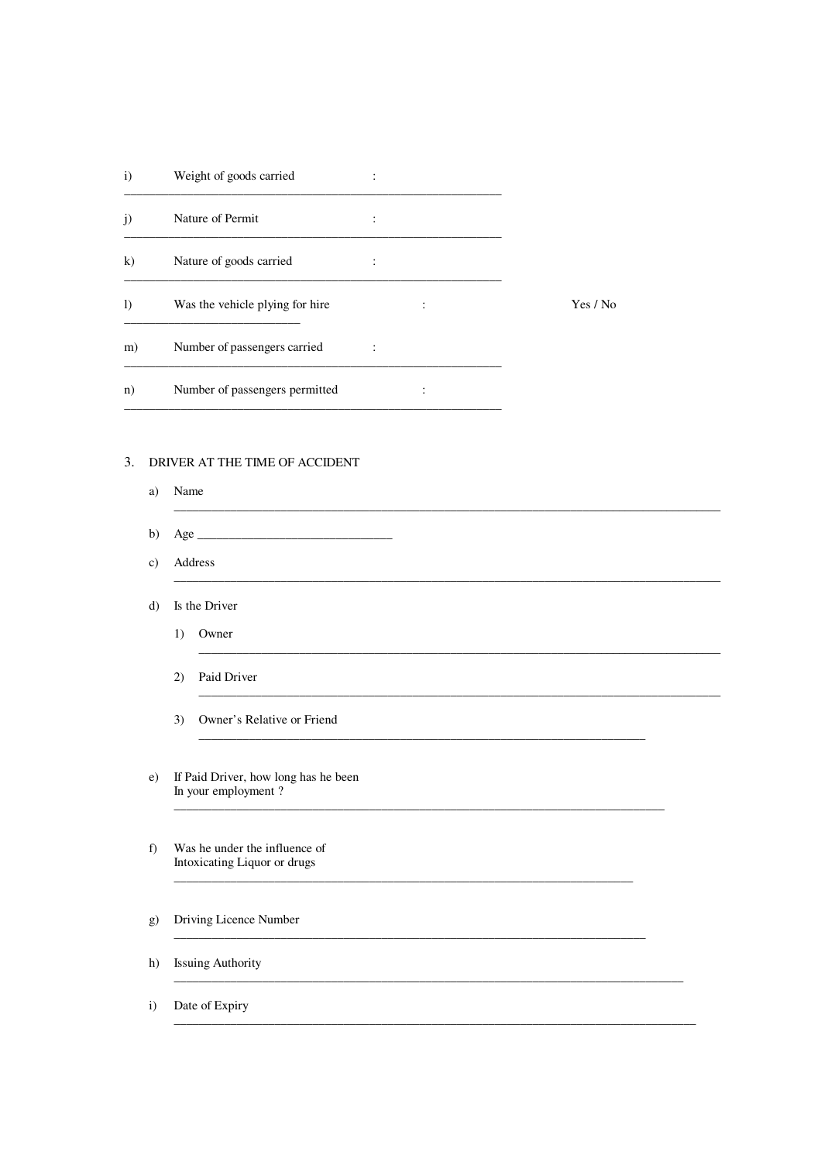| $\mathbf{i}$ | Weight of goods carried         |                           |        |          |
|--------------|---------------------------------|---------------------------|--------|----------|
| j)           | Nature of Permit                | ٠                         |        |          |
| k)           | Nature of goods carried         | ٠<br>$\ddot{\phantom{a}}$ |        |          |
| $\bf{I}$     | Was the vehicle plying for hire |                           | ٠<br>٠ | Yes / No |
| m)           | Number of passengers carried    |                           |        |          |
| n)           | Number of passengers permitted  |                           |        |          |

# 3. DRIVER AT THE TIME OF ACCIDENT

- a) Name
- b) Age  $\_\_$
- c) Address
- d) Is the Driver
	- 1) Owner
	- 2) Paid Driver
	- 3) Owner's Relative or Friend
- e) If Paid Driver, how long has he been In your employment?
- $f$ ) Was he under the influence of Intoxicating Liquor or drugs

# g) Driving Licence Number

h) Issuing Authority

Date of Expiry  $\mathbf{i}$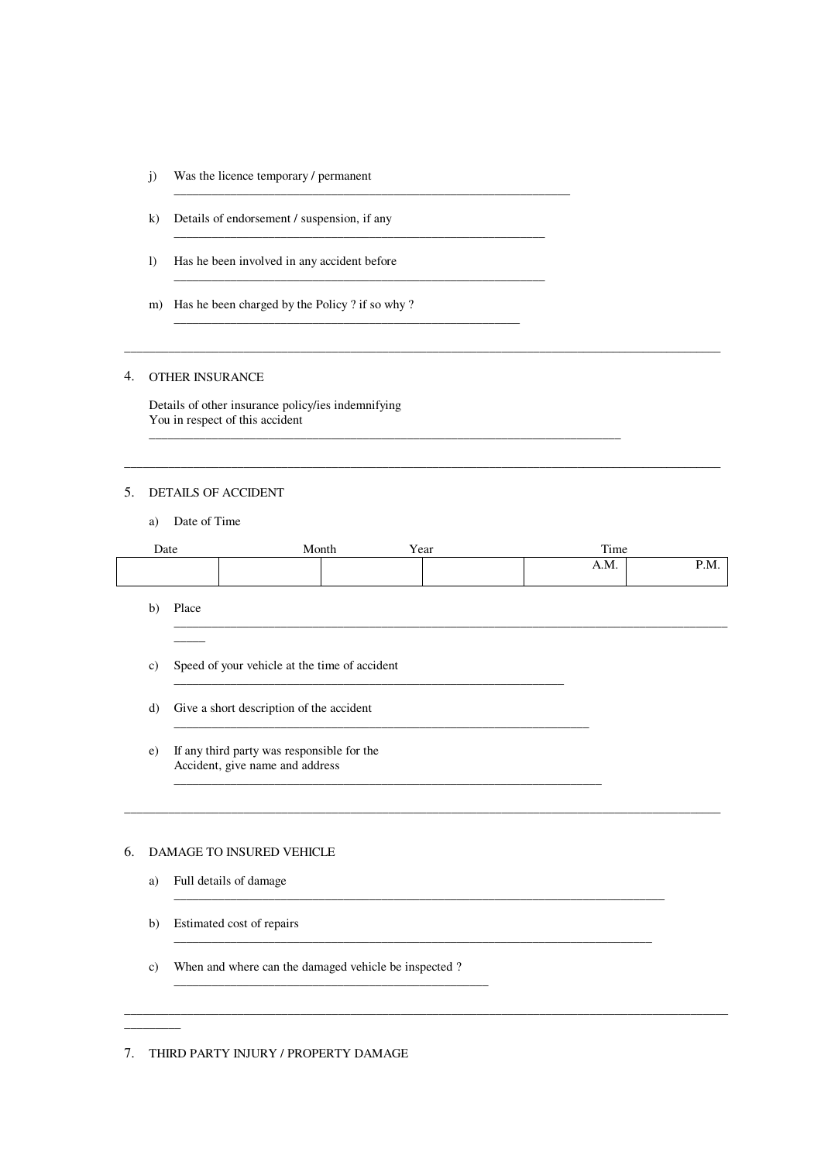- j) Was the licence temporary / permanent
- k) Details of endorsement / suspension, if any

\_\_\_\_\_\_\_\_\_\_\_\_\_\_\_\_\_\_\_\_\_\_\_\_\_\_\_\_\_\_\_\_\_\_\_\_\_\_\_\_\_\_\_\_\_\_\_\_\_\_\_\_\_\_\_\_\_\_\_\_\_\_\_

\_\_\_\_\_\_\_\_\_\_\_\_\_\_\_\_\_\_\_\_\_\_\_\_\_\_\_\_\_\_\_\_\_\_\_\_\_\_\_\_\_\_\_\_\_\_\_\_\_\_\_\_\_\_\_\_\_\_\_

\_\_\_\_\_\_\_\_\_\_\_\_\_\_\_\_\_\_\_\_\_\_\_\_\_\_\_\_\_\_\_\_\_\_\_\_\_\_\_\_\_\_\_\_\_\_\_\_\_\_\_\_\_\_\_\_\_\_\_

\_\_\_\_\_\_\_\_\_\_\_\_\_\_\_\_\_\_\_\_\_\_\_\_\_\_\_\_\_\_\_\_\_\_\_\_\_\_\_\_\_\_\_\_\_\_\_\_\_\_\_\_\_\_\_

- l) Has he been involved in any accident before
- m) Has he been charged by the Policy ? if so why ?

#### 4. OTHER INSURANCE

Details of other insurance policy/ies indemnifying You in respect of this accident

#### 5. DETAILS OF ACCIDENT

a) Date of Time

| Date | Month | Year<br>ш | Time |      |
|------|-------|-----------|------|------|
|      |       |           | A.M. | P.M. |
|      |       |           |      |      |

\_\_\_\_\_\_\_\_\_\_\_\_\_\_\_\_\_\_\_\_\_\_\_\_\_\_\_\_\_\_\_\_\_\_\_\_\_\_\_\_\_\_\_\_\_\_\_\_\_\_\_\_\_\_\_\_\_\_\_\_\_\_\_\_\_\_\_\_\_\_\_\_\_\_\_\_\_\_\_\_\_\_\_\_\_\_\_\_\_\_\_\_\_\_\_

\_\_\_\_\_\_\_\_\_\_\_\_\_\_\_\_\_\_\_\_\_\_\_\_\_\_\_\_\_\_\_\_\_\_\_\_\_\_\_\_\_\_\_\_\_\_\_\_\_\_\_\_\_\_\_\_\_\_\_\_\_\_\_\_\_\_\_\_\_\_\_\_\_\_\_\_\_\_

\_\_\_\_\_\_\_\_\_\_\_\_\_\_\_\_\_\_\_\_\_\_\_\_\_\_\_\_\_\_\_\_\_\_\_\_\_\_\_\_\_\_\_\_\_\_\_\_\_\_\_\_\_\_\_\_\_\_\_\_\_\_\_\_\_\_\_\_\_\_\_\_\_\_\_\_

\_\_\_\_\_\_\_\_\_\_\_\_\_\_\_\_\_\_\_\_\_\_\_\_\_\_\_\_\_\_\_\_\_\_\_\_\_\_\_\_\_\_\_\_\_\_\_\_\_\_\_\_\_\_\_\_\_\_\_\_\_\_\_\_\_\_\_\_\_\_\_\_\_\_\_\_\_\_\_\_\_\_\_\_\_\_\_\_\_\_\_\_\_\_\_\_

 $\overline{\phantom{a}}$  , and the contribution of the contribution of the contribution of the contribution of the contribution of the contribution of the contribution of the contribution of the contribution of the contribution of the

 $\overline{\phantom{a}}$  , and the contribution of the contribution of the contribution of the contribution of the contribution of the contribution of the contribution of the contribution of the contribution of the contribution of the

\_\_\_\_\_\_\_\_\_\_\_\_\_\_\_\_\_\_\_\_\_\_\_\_\_\_\_\_\_\_\_\_\_\_\_\_\_\_\_\_\_\_\_\_\_\_\_\_\_\_\_\_\_\_\_\_\_\_\_\_\_\_\_\_\_\_\_\_\_\_\_\_\_\_\_

\_\_\_\_\_\_\_\_\_\_\_\_\_\_\_\_\_\_\_\_\_\_\_\_\_\_\_\_\_\_\_\_\_\_\_\_\_\_\_\_\_\_\_\_\_\_\_\_\_\_\_\_\_\_\_\_\_\_\_\_\_\_

\_\_\_\_\_\_\_\_\_\_\_\_\_\_\_\_\_\_\_\_\_\_\_\_\_\_\_\_\_\_\_\_\_\_\_\_\_\_\_\_\_\_\_\_\_\_\_\_\_\_\_\_\_\_\_\_\_\_\_\_\_\_\_\_\_\_

b) Place \_\_\_\_\_\_\_\_\_\_\_\_\_\_\_\_\_\_\_\_\_\_\_\_\_\_\_\_\_\_\_\_\_\_\_\_\_\_\_\_\_\_\_\_\_\_\_\_\_\_\_\_\_\_\_\_\_\_\_\_\_\_\_\_\_\_\_\_\_\_\_\_\_\_\_\_\_\_\_\_\_\_\_\_\_\_\_\_

 $\overline{\phantom{a}}$ 

c) Speed of your vehicle at the time of accident

d) Give a short description of the accident

e) If any third party was responsible for the Accident, give name and address \_\_\_\_\_\_\_\_\_\_\_\_\_\_\_\_\_\_\_\_\_\_\_\_\_\_\_\_\_\_\_\_\_\_\_\_\_\_\_\_\_\_\_\_\_\_\_\_\_\_\_\_\_\_\_\_\_\_\_\_\_\_\_\_\_\_\_\_

#### 6. DAMAGE TO INSURED VEHICLE

- a) Full details of damage
- b) Estimated cost of repairs

\_\_\_\_\_\_\_\_\_

c) When and where can the damaged vehicle be inspected ?

\_\_\_\_\_\_\_\_\_\_\_\_\_\_\_\_\_\_\_\_\_\_\_\_\_\_\_\_\_\_\_\_\_\_\_\_\_\_\_\_\_\_\_\_\_\_\_\_\_\_

7. THIRD PARTY INJURY / PROPERTY DAMAGE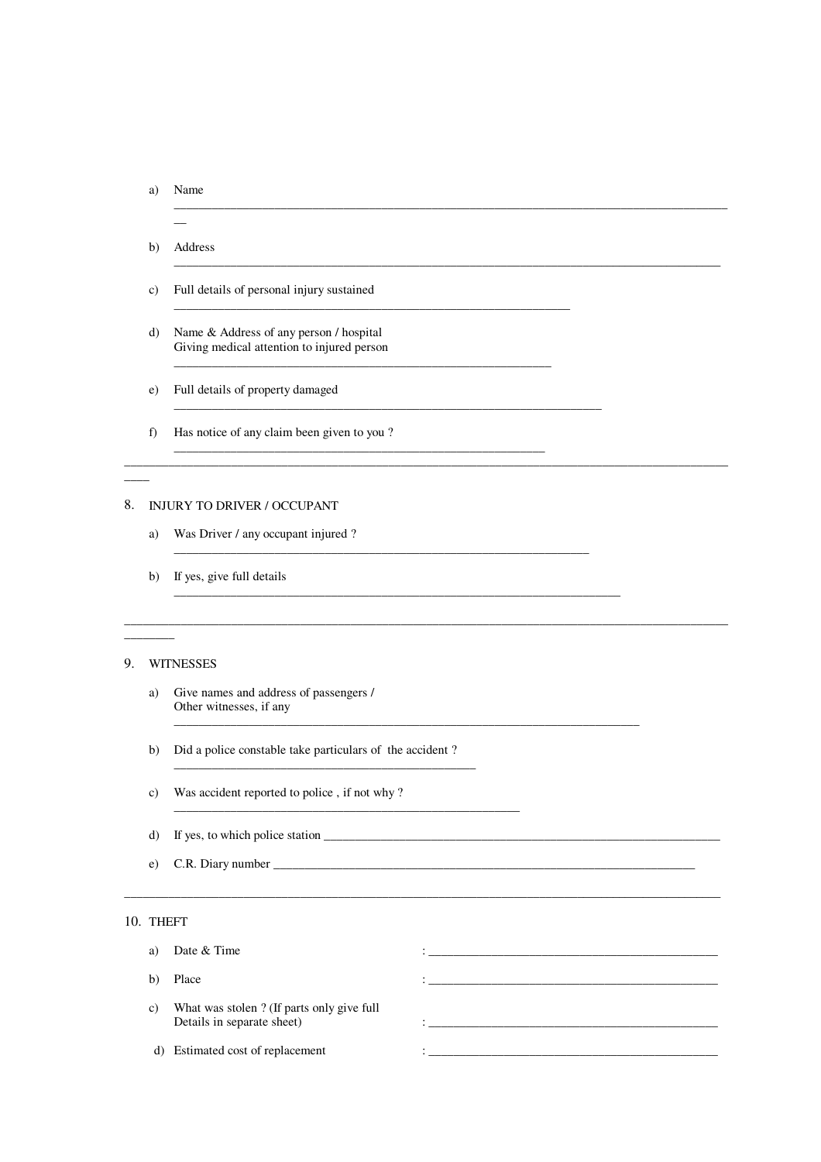#### a) Name

- $\overline{\phantom{a}}$  $b)$ Address
- Full details of personal injury sustained  $\mathbf{c})$
- Name & Address of any person / hospital  $\mathbf{d}$ Giving medical attention to injured person
- e) Full details of property damaged
- Has notice of any claim been given to you?  $f$ )

## 8. INJURY TO DRIVER / OCCUPANT

- a) Was Driver / any occupant injured ?
- If yes, give full details  $b)$

### 9. WITNESSES

- Give names and address of passengers / a) Other witnesses, if any
- b) Did a police constable take particulars of the accident?
- Was accident reported to police, if not why?  $\mathbf{c})$
- d)
- C.R. Diary number  $e)$

#### 10. THEFT

| a) | Date & Time                                                             |  |
|----|-------------------------------------------------------------------------|--|
| b) | Place                                                                   |  |
| C) | What was stolen? (If parts only give full<br>Details in separate sheet) |  |
| d) | Estimated cost of replacement                                           |  |